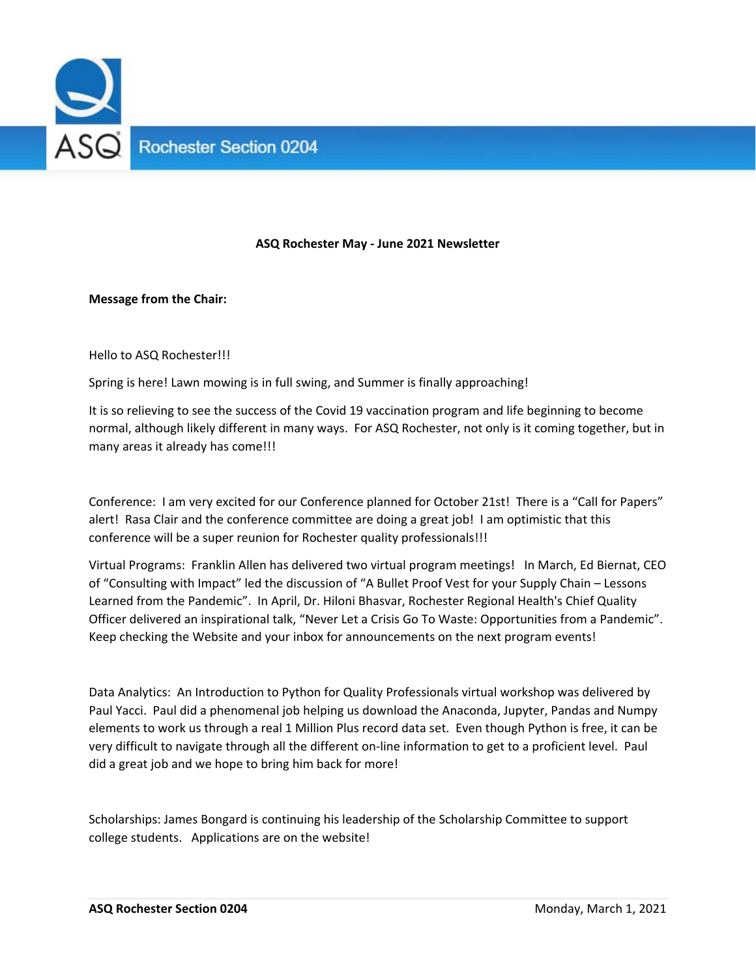

## **ASQ Rochester May ‐ June 2021 Newsletter**

## **Message from the Chair:**

Hello to ASQ Rochester!!!

Spring is here! Lawn mowing is in full swing, and Summer is finally approaching!

It is so relieving to see the success of the Covid 19 vaccination program and life beginning to become normal, although likely different in many ways. For ASQ Rochester, not only is it coming together, but in many areas it already has come!!!

Conference: I am very excited for our Conference planned for October 21st! There is a "Call for Papers" alert! Rasa Clair and the conference committee are doing a great job! I am optimistic that this conference will be a super reunion for Rochester quality professionals!!!

Virtual Programs: Franklin Allen has delivered two virtual program meetings! In March, Ed Biernat, CEO of "Consulting with Impact" led the discussion of "A Bullet Proof Vest for your Supply Chain – Lessons Learned from the Pandemic". In April, Dr. Hiloni Bhasvar, Rochester Regional Health's Chief Quality Officer delivered an inspirational talk, "Never Let a Crisis Go To Waste: Opportunities from a Pandemic". Keep checking the Website and your inbox for announcements on the next program events!

Data Analytics: An Introduction to Python for Quality Professionals virtual workshop was delivered by Paul Yacci. Paul did a phenomenal job helping us download the Anaconda, Jupyter, Pandas and Numpy elements to work us through a real 1 Million Plus record data set. Even though Python is free, it can be very difficult to navigate through all the different on‐line information to get to a proficient level. Paul did a great job and we hope to bring him back for more!

Scholarships: James Bongard is continuing his leadership of the Scholarship Committee to support college students. Applications are on the website!